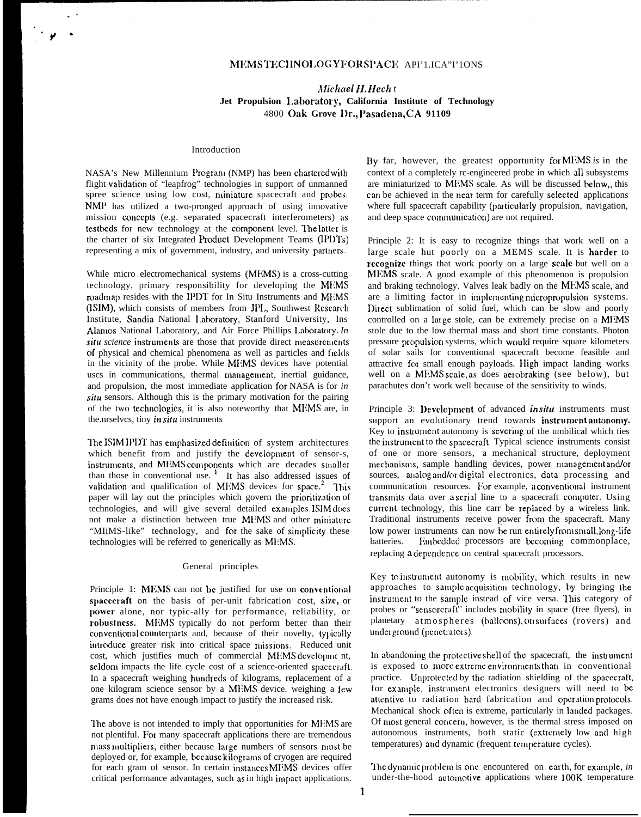# MEMSTECHNOLOGYFORSPACE API'1.ICA"I'10NS

# Michael H. Hech t Jet Propulsion Laboratory, California Institute of Technology 4800 Oak Grove Dr., Pasadena, CA 91109

# Introduction

NASA's New Millennium Program (NMP) has been chartered with flight validation of "leapfrog" technologies in support of unmanned spree science using low cost, miniature spacecraft and probes. NMP has utilized a two-pronged approach of using innovative mission concepts (e.g. separated spacecraft interferometers) as testbeds for new technology at the component level. The latter is the charter of six Integrated Product Development Teams (IPI)Ts) representing a mix of government, industry, and university partners.

While micro electromechanical systems (MEMS) is a cross-cutting technology, primary responsibility for developing the MEMS roadmap resides with the IPDT for In Situ Instruments and MEMS (ISIM), which consists of members from JPL, Southwest Research Institute, Sandia National Laboratory, Stanford University, Ins Alamos National Laboratory, and Air Force Phillips Laboratory. In situ science instruments are those that provide direct measurements of physical and chemical phenomena as well as particles and fields in the vicinity of the probe. While MEMS devices have potential uscs in communications, thermal management, inertial guidance, and propulsion, the most immediate application for NASA is for in situ sensors. Although this is the primary motivation for the pairing of the two technologies, it is also noteworthy that MEMS are, in the nrselves, tiny *in situ* instruments

The ISIM IPDT has emphasized definition of system architectures which benefit from and justify the development of sensor-s, instruments, and MEMS components which are decades smaller than those in conventional use.<sup>1</sup> It has also addressed issues of validation and qualification of MEMS devices for space.<sup>2</sup> This paper will lay out the principles which govern the prioritization of technologies, and will give several detailed examples. ISIM does not make a distinction between true MEMS and other miniature "MINS-like" technology, and for the sake of simplicity these technologies will be referred to generically as MEMS.

#### General principles

Principle 1: MEMS can not be justified for use on conventional spacecraft on the basis of per-unit fabrication cost, size, or power alone, nor typic-ally for performance, reliability, or robustness. MEMS typically do not perform better than their conventional counterparts and, because of their novelty, typically introduce greater risk into critical space missions. Reduced unit cost, which justifies much of commercial MEMS development, seldom impacts the life cycle cost of a science-oriented spacecraft. In a spacecraft weighing hundreds of kilograms, replacement of a one kilogram science sensor by a MEMS device. weighing a few grams does not have enough impact to justify the increased risk.

The above is not intended to imply that opportunities for MEMS are not plentiful. For many spacecraft applications there are tremendous mass multipliers, either because large numbers of sensors must be deployed or, for example, because kilograms of cryogen are required for each gram of sensor. In certain instances MEMS devices offer critical performance advantages, such as in high impact applications. By far, however, the greatest opportunity for MEMS is in the context of a completely rc-engineered probe in which all subsystems are miniaturized to MEMS scale. As will be discussed below, this can be achieved in the near term for carefully selected applications where full spacecraft capability (particularly propulsion, navigation, and deep space communication) are not required.

Principle 2: It is easy to recognize things that work well on a large scale hut poorly on a MEMS scale. It is harder to recognize things that work poorly on a large scale but well on a MEMS scale. A good example of this phenomenon is propulsion and braking technology. Valves leak badly on the MEMS scale, and are a limiting factor in implementing micropropulsion systems. Direct sublimation of solid fuel, which can be slow and poorly controlled on a large stole, can be extremely precise on a MEMS stole due to the low thermal mass and short time constants. Photon pressure propulsion systems, which would require square kilometers of solar sails for conventional spacecraft become feasible and attractive for small enough payloads. High impact landing works well on a MEMS scale, as does aerobraking (see below), but parachutes don't work well because of the sensitivity to winds.

Principle 3: Development of advanced *in situ* instruments must support an evolutionary trend towards instrument autonomy. Key to instrument autonomy is severing of the umbilical which ties the instrument to the spacecraft. Typical science instruments consist of one or more sensors, a mechanical structure, deployment mechanisms, sample handling devices, power management and/or sources, analog and/or digital electronics, data processing and communication resources. For example, a conventional instrument transmits data over a serial line to a spacecraft computer. Using current technology, this line carr be replaced by a wireless link. Traditional instruments receive power from the spacecraft. Many low power instruments can now be run entirely from small, long-life batteries. Embedded processors are becoming commonplace, replacing a dependence on central spacecraft processors.

Key to instrument autonomy is mobility, which results in new approaches to sample acquisition technology, by bringing the instrument to the sample instead of vice versa. This category of probes or "sensorcraft" includes mobility in space (free flyers), in planetary atmospheres (balloons), on surfaces (rovers) and underground (penetrators).

In abandoning the protective shell of the spacecraft, the instrument is exposed to more extreme environments than in conventional practice. Unprotected by the radiation shielding of the spacecraft, for example, instrument electronics designers will need to be attentive to radiation hard fabrication and operation protocols. Mechanical shock often is extreme, particularly in landed packages. Of most general concern, however, is the thermal stress imposed on autonomous instruments, both static (extremely low and high temperatures) and dynamic (frequent temperature cycles).

The dynamic problem is one encountered on earth, for example, in under-the-hood automotive applications where 100K temperature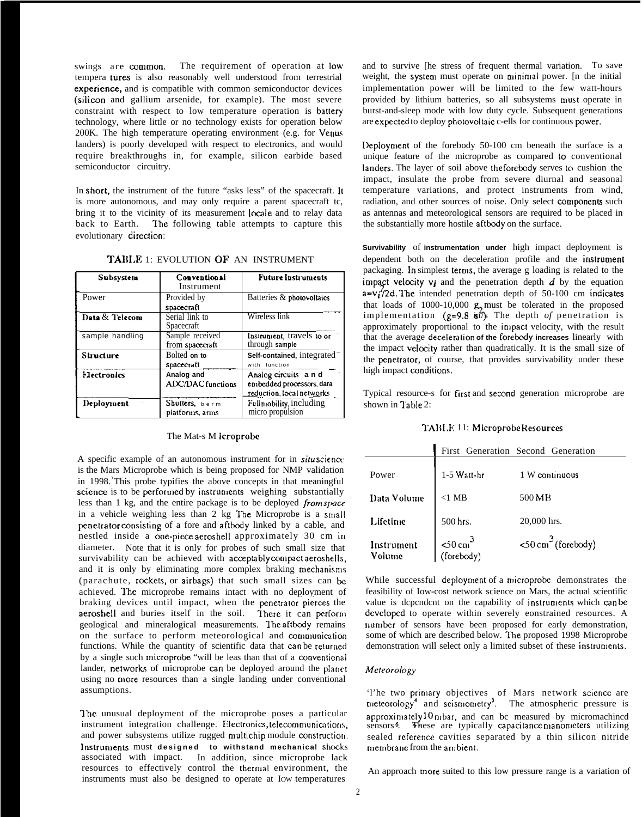swings are common. The requirement of operation at low tempera tures is also reasonably well understood from terrestrial experience, and is compatible with common semiconductor devices (silicon and gallium arsenide, for example). The most severe constraint with respect to low temperature operation is battery technology, where little or no technology exists for operation below 200K. The high temperature operating environment (e.g. for Venus landers) is poorly developed with respect to electronics, and would require breakthroughs in, for example, silicon earbide based semiconductor circuitry.

In short, the instrument of the future "asks less" of the spacecraft. It is more autonomous, and may only require a parent spacecraft tc, bring it to the vicinity of its measurement locale and to relay data back to Earth. The following table attempts to capture this evolutionary direction:

| Subsystem       | Conventional<br>Instrument             | <b>Future Instruments</b>                                                     |
|-----------------|----------------------------------------|-------------------------------------------------------------------------------|
| Power           | Provided by<br>spacecraft              | Batteries & photovoltaics                                                     |
| Data & Telecom  | Serial link to<br>Spacecraft           | Wireless link                                                                 |
| sample handling | Sample received<br>from spacecraft     | Instrument, travels to or<br>through sample                                   |
| Structure       | Bolted on to<br>spacecraft             | Self-contained, integrated<br>with function                                   |
| Hectronics      | Analog and<br><b>ADC/DAC</b> functions | Analog circuits and<br>embedded processors, dara<br>reduction, local networks |
| Deployment      | Shutters, berm<br>platforms, arms      | Full mobility, including<br>micro propulsion                                  |

TABLE 1: EVOLUTION OF AN INSTRUMENT

#### The Mat-s M icroprobe

A specific example of an autonomous instrument for in situscience is the Mars Microprobe which is being proposed for NMP validation in 1998.<sup>3</sup>This probe typifies the above concepts in that meaningful science is to be performed by instruments weighing substantially less than 1 kg, and the entire package is to be deployed from space in a vehicle weighing less than 2 kg The Microprobe is a small penetrator consisting of a fore and aftbody linked by a cable, and nestled inside a one-piece aeroshell approximately 30 cm in diameter. Note that it is only for probes of such small size that survivability can be achieved with acceptably compact aeroshells, and it is only by eliminating more complex braking mechanisms (parachute, rockets, or airbags) that such small sizes can be achieved. The microprobe remains intact with no deployment of braking devices until impact, when the penetrator pierces the aeroshell and buries itself in the soil. There it can perform geological and mineralogical measurements. The aftbody remains on the surface to perform meteorological and communication functions. While the quantity of scientific data that can be returned by a single such microprobe "will be leas than that of a conventional lander, networks of microprobe can be deployed around the planet using no more resources than a single landing under conventional assumptions.

The unusual deployment of the microprobe poses a particular instrument integration challenge. Electronics, telecommunications, and power subsystems utilize rugged multichip module construction. Instruments must designed to withstand mechanical shocks associated with impact. In addition, since microprobe lack resources to effectively control the thermal environment, the instruments must also be designed to operate at Iow temperatures

and to survive [he stress of frequent thermal variation. To save weight, the system must operate on minimal power. [n the initial implementation power will be limited to the few watt-hours provided by lithium batteries, so all subsystems must operate in burst-and-sleep mode with low duty cycle. Subsequent generations are expected to deploy photovoltaic c-ells for continuous power.

Deployment of the forebody 50-100 cm beneath the surface is a unique feature of the microprobe as compared to conventional landers. The layer of soil above theforebody serves to cushion the impact, insulate the probe from severe diurnal and seasonal temperature variations, and protect instruments from wind, radiation, and other sources of noise. Only select components such as antennas and meteorological sensors are required to be placed in the substantially more hostile aftbody on the surface.

Survivability of instrumentation under high impact deployment is dependent both on the deceleration profile and the instrument packaging. In simplest terms, the average g loading is related to the impact velocity  $v_i$  and the penetration depth  $d$  by the equation  $a=v_i^2/2d$ . The intended penetration depth of 50-100 cm indicates that loads of 1000-10,000  $\mathbf{g}$  must be tolerated in the proposed implementation ( $g=9.8$   $\overline{m/s}$ ) The depth of penetration is approximately proportional to the impact velocity, with the result that the average deceleration of the forebody increases linearly with the impact velocity rather than quadratically. It is the small size of the penetrator, of course, that provides survivability under these high impact conditions.

Typical resource-s for first and second generation microprobe are shown in Table 2:

### TABLE 11: Microprobe Resources

|                      |                                 | First Generation Second Generation  |
|----------------------|---------------------------------|-------------------------------------|
| Power                | 1-5 Watt-hr                     | $1 W$ continuous                    |
| Data Volume          | $<1$ MB                         | 500 MB                              |
| Lifetime             | 500 hrs.                        | 20,000 hrs.                         |
| Instrument<br>Volume | $50 \text{ cm}^3$<br>(forebody) | $\leq 0$ cm <sup>3</sup> (forebody) |

While successful deployment of a microprobe demonstrates the feasibility of Iow-cost network science on Mars, the actual scientific value is dependent on the capability of instruments which can be developed to operate within severely eonstrained resources. A number of sensors have been proposed for early demonstration, some of which are described below. The proposed 1998 Microprobe demonstration will select only a limited subset of these instruments.

# Meteorology

'l'he two primary objectives of Mars network science are meteorology<sup>4</sup> and seismometry<sup>3</sup>. The atmospheric pressure is approximately 10 mbar, and can be measured by micromachined sensors<sup>6</sup>. These are typically capacitance manometers utilizing sealed reference cavities separated by a thin silicon nitride membrane from the ambient.

An approach more suited to this low pressure range is a variation of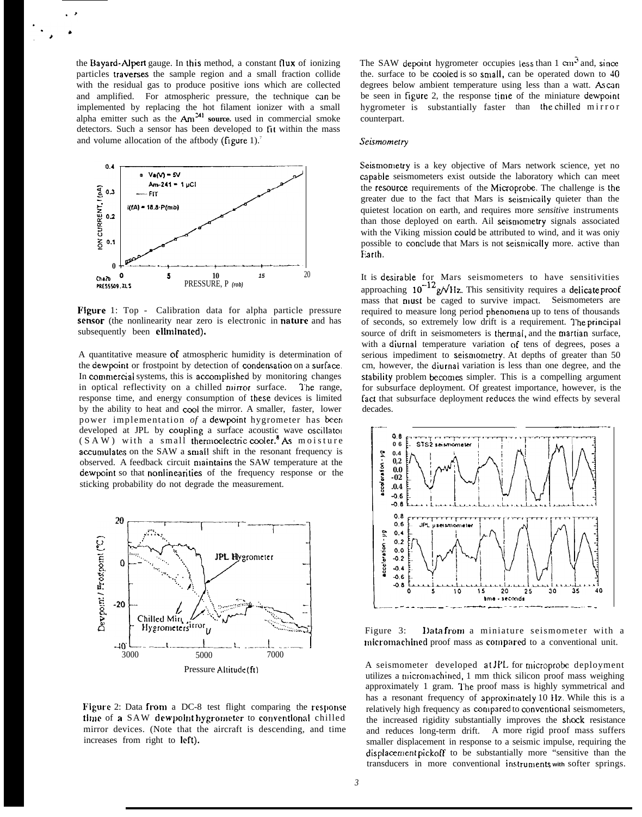the Bayard-Alpert gauge. In this method, a constant flux of ionizing particles traverses the sample region and a small fraction collide with the residual gas to produce positive ions which are collected and amplified. For atmospheric pressure, the technique can be implemented by replacing the hot filament ionizer with a small<br>alpha emitter such as the  $Am^{24}$  source, used in commercial smoke<br>detectors. Such a sensor has been developed to fit within the mass and volume allocation of the aftbody (figure 1). $^7$ 



Figure 1: Top - Calibration data for alpha particle pressure sensor (the nonlinearity near zero is electronic in nature and has subsequently been eliminated).

A quantitative measure of atmospheric humidity is determination of the dewpoint or frostpoint by detection of condensation on a surface. In commercial systems, this is accomplished by monitoring changes in optical reflectivity on a chilled mirror surface. The range. response time, and energy consumption of these devices is limited by the ability to heat and cool the mirror. A smaller, faster, lower power implementation of a dewpoint hygrometer has been developed at JPL by coupling a surface acoustic wave oscillator  $(S A W)$  with a small thermoelectric cooler.<sup>8</sup> As moisture accumulates on the SAW a small shift in the resonant frequency is observed. A feedback circuit maintains the SAW temperature at the dewpoint so that nonlinearities of the frequency response or the sticking probability do not degrade the measurement.



Figure 2: Data from a DC-8 test flight comparing the response time of a SAW dewpoint hygrometer to conventional chilled mirror devices. (Note that the aircraft is descending, and time increases from right to left).

The SAW depoint hygrometer occupies less than 1 cm<sup>3</sup> and, since the. surface to be cooled is so small, can be operated down to 40 degrees below ambient temperature using less than a watt. As can be seen in figure 2, the response time of the miniature dewpoint hygrometer is substantially faster than the chilled mirror counterpart.

#### Seismometry

Seismometry is a key objective of Mars network science, yet no capable seismometers exist outside the laboratory which can meet the resource requirements of the Microprobe. The challenge is the greater due to the fact that Mars is seismically quieter than the quietest location on earth, and requires more sensitive instruments than those deployed on earth. Ail seismometry signals associated with the Viking mission could be attributed to wind, and it was only possible to conclude that Mars is not seismically more. active than Earth.

It is desirable for Mars seismometers to have sensitivities<br>approaching  $10^{-12}$  g/ $\sqrt{Hz}$ . This sensitivity requires a delicate proof mass that nust be caged to survive impact. Seismometers are required to measure long period phenomena up to tens of thousands of seconds, so extremely low drift is a requirement. The principal source of drift in seismometers is thermal, and the martian surface, with a diurnal temperature variation of tens of degrees, poses a serious impediment to seismometry. At depths of greater than 50 cm, however, the diurnal variation is less than one degree, and the stability problem becomes simpler. This is a compelling argument for subsurface deployment. Of greatest importance, however, is the fact that subsurface deployment reduces the wind effects by several decades.



Data from a miniature seismometer with a Figure 3: micromachined proof mass as compared to a conventional unit.

A seismometer developed at JPL for microprobe deployment utilizes a micromachined, 1 mm thick silicon proof mass weighing approximately 1 gram. The proof mass is highly symmetrical and has a resonant frequency of approximately 10 Hz. While this is a relatively high frequency as compared to conventional seismometers, the increased rigidity substantially improves the shock resistance and reduces long-term drift. A more rigid proof mass suffers smaller displacement in response to a seismic impulse, requiring the displacement pickoff to be substantially more "sensitive than the transducers in more conventional instruments with softer springs.